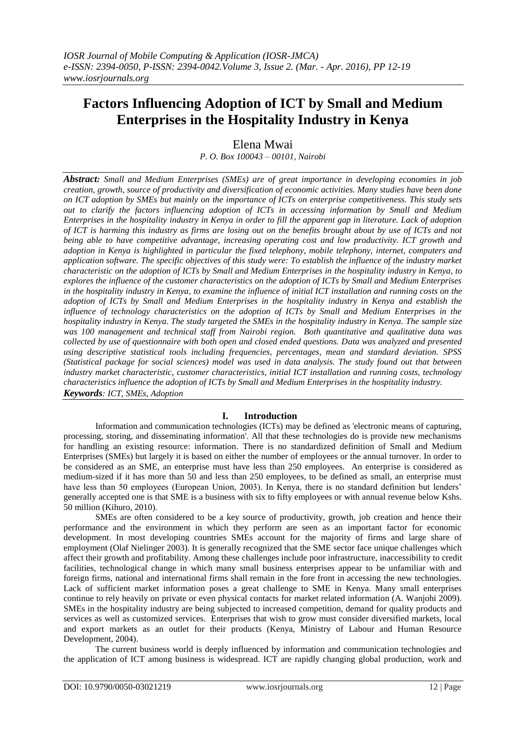# **Factors Influencing Adoption of ICT by Small and Medium Enterprises in the Hospitality Industry in Kenya**

Elena Mwai

*P. O. Box 100043 – 00101, Nairobi*

*Abstract: Small and Medium Enterprises (SMEs) are of great importance in developing economies in job creation, growth, source of productivity and diversification of economic activities. Many studies have been done on ICT adoption by SMEs but mainly on the importance of ICTs on enterprise competitiveness. This study sets out to clarify the factors influencing adoption of ICTs in accessing information by Small and Medium Enterprises in the hospitality industry in Kenya in order to fill the apparent gap in literature. Lack of adoption of ICT is harming this industry as firms are losing out on the benefits brought about by use of ICTs and not being able to have competitive advantage, increasing operating cost and low productivity. ICT growth and adoption in Kenya is highlighted in particular the fixed telephony, mobile telephony, internet, computers and application software. The specific objectives of this study were: To establish the influence of the industry market characteristic on the adoption of ICTs by Small and Medium Enterprises in the hospitality industry in Kenya, to explores the influence of the customer characteristics on the adoption of ICTs by Small and Medium Enterprises in the hospitality industry in Kenya, to examine the influence of initial ICT installation and running costs on the adoption of ICTs by Small and Medium Enterprises in the hospitality industry in Kenya and establish the influence of technology characteristics on the adoption of ICTs by Small and Medium Enterprises in the hospitality industry in Kenya. The study targeted the SMEs in the hospitality industry in Kenya. The sample size was 100 management and technical staff from Nairobi region. Both quantitative and qualitative data was collected by use of questionnaire with both open and closed ended questions. Data was analyzed and presented using descriptive statistical tools including frequencies, percentages, mean and standard deviation. SPSS (Statistical package for social sciences) model was used in data analysis. The study found out that between industry market characteristic, customer characteristics, initial ICT installation and running costs, technology characteristics influence the adoption of ICTs by Small and Medium Enterprises in the hospitality industry. Keywords: ICT, SMEs, Adoption*

# **I. Introduction**

Information and communication technologies (ICTs) may be defined as 'electronic means of capturing, processing, storing, and disseminating information'. All that these technologies do is provide new mechanisms for handling an existing resource: information. There is no standardized definition of Small and Medium Enterprises (SMEs) but largely it is based on either the number of employees or the annual turnover. In order to be considered as an SME, an enterprise must have less than 250 employees. An enterprise is considered as medium-sized if it has more than 50 and less than 250 employees, to be defined as small, an enterprise must have less than 50 employees (European Union, 2003). In Kenya, there is no standard definition but lenders' generally accepted one is that SME is a business with six to fifty employees or with annual revenue below Kshs. 50 million (Kihuro, 2010).

SMEs are often considered to be a key source of productivity, growth, job creation and hence their performance and the environment in which they perform are seen as an important factor for economic development. In most developing countries SMEs account for the majority of firms and large share of employment (Olaf Nielinger 2003). It is generally recognized that the SME sector face unique challenges which affect their growth and profitability. Among these challenges include poor infrastructure, inaccessibility to credit facilities, technological change in which many small business enterprises appear to be unfamiliar with and foreign firms, national and international firms shall remain in the fore front in accessing the new technologies. Lack of sufficient market information poses a great challenge to SME in Kenya. Many small enterprises continue to rely heavily on private or even physical contacts for market related information (A. Wanjohi 2009). SMEs in the hospitality industry are being subjected to increased competition, demand for quality products and services as well as customized services. Enterprises that wish to grow must consider diversified markets, local and export markets as an outlet for their products (Kenya, Ministry of Labour and Human Resource Development, 2004).

The current business world is deeply influenced by information and communication technologies and the application of ICT among business is widespread. ICT are rapidly changing global production, work and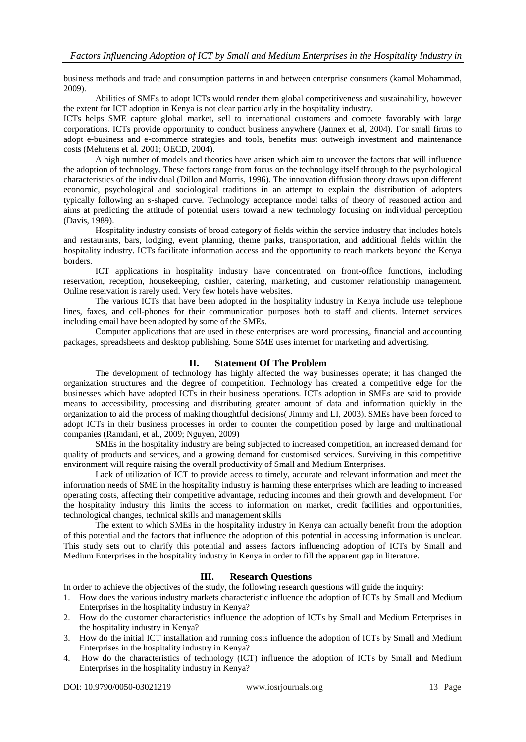business methods and trade and consumption patterns in and between enterprise consumers (kamal Mohammad, 2009).

Abilities of SMEs to adopt ICTs would render them global competitiveness and sustainability, however the extent for ICT adoption in Kenya is not clear particularly in the hospitality industry.

ICTs helps SME capture global market, sell to international customers and compete favorably with large corporations. ICTs provide opportunity to conduct business anywhere (Jannex et al, 2004). For small firms to adopt e-business and e-commerce strategies and tools, benefits must outweigh investment and maintenance costs (Mehrtens et al. 2001; OECD, 2004).

A high number of models and theories have arisen which aim to uncover the factors that will influence the adoption of technology. These factors range from focus on the technology itself through to the psychological characteristics of the individual (Dillon and Morris, 1996). The innovation diffusion theory draws upon different economic, psychological and sociological traditions in an attempt to explain the distribution of adopters typically following an s-shaped curve. Technology acceptance model talks of theory of reasoned action and aims at predicting the attitude of potential users toward a new technology focusing on individual perception (Davis, 1989).

Hospitality industry consists of broad category of fields within the service industry that includes hotels and restaurants, bars, lodging, event planning, theme parks, transportation, and additional fields within the hospitality industry. ICTs facilitate information access and the opportunity to reach markets beyond the Kenya borders.

ICT applications in hospitality industry have concentrated on front-office functions, including reservation, reception, housekeeping, cashier, catering, marketing, and customer relationship management. Online reservation is rarely used. Very few hotels have websites.

The various ICTs that have been adopted in the hospitality industry in Kenya include use telephone lines, faxes, and cell-phones for their communication purposes both to staff and clients. Internet services including email have been adopted by some of the SMEs.

Computer applications that are used in these enterprises are word processing, financial and accounting packages, spreadsheets and desktop publishing. Some SME uses internet for marketing and advertising.

# **II. Statement Of The Problem**

The development of technology has highly affected the way businesses operate; it has changed the organization structures and the degree of competition. Technology has created a competitive edge for the businesses which have adopted ICTs in their business operations. ICTs adoption in SMEs are said to provide means to accessibility, processing and distributing greater amount of data and information quickly in the organization to aid the process of making thoughtful decisions( Jimmy and LI, 2003). SMEs have been forced to adopt ICTs in their business processes in order to counter the competition posed by large and multinational companies (Ramdani, et al., 2009; Nguyen, 2009)

SMEs in the hospitality industry are being subjected to increased competition, an increased demand for quality of products and services, and a growing demand for customised services. Surviving in this competitive environment will require raising the overall productivity of Small and Medium Enterprises.

Lack of utilization of ICT to provide access to timely, accurate and relevant information and meet the information needs of SME in the hospitality industry is harming these enterprises which are leading to increased operating costs, affecting their competitive advantage, reducing incomes and their growth and development. For the hospitality industry this limits the access to information on market, credit facilities and opportunities, technological changes, technical skills and management skills

The extent to which SMEs in the hospitality industry in Kenya can actually benefit from the adoption of this potential and the factors that influence the adoption of this potential in accessing information is unclear. This study sets out to clarify this potential and assess factors influencing adoption of ICTs by Small and Medium Enterprises in the hospitality industry in Kenya in order to fill the apparent gap in literature.

# **III. Research Questions**

In order to achieve the objectives of the study, the following research questions will guide the inquiry:

- 1. How does the various industry markets characteristic influence the adoption of ICTs by Small and Medium Enterprises in the hospitality industry in Kenya?
- 2. How do the customer characteristics influence the adoption of ICTs by Small and Medium Enterprises in the hospitality industry in Kenya?
- 3. How do the initial ICT installation and running costs influence the adoption of ICTs by Small and Medium Enterprises in the hospitality industry in Kenya?
- 4. How do the characteristics of technology (ICT) influence the adoption of ICTs by Small and Medium Enterprises in the hospitality industry in Kenya?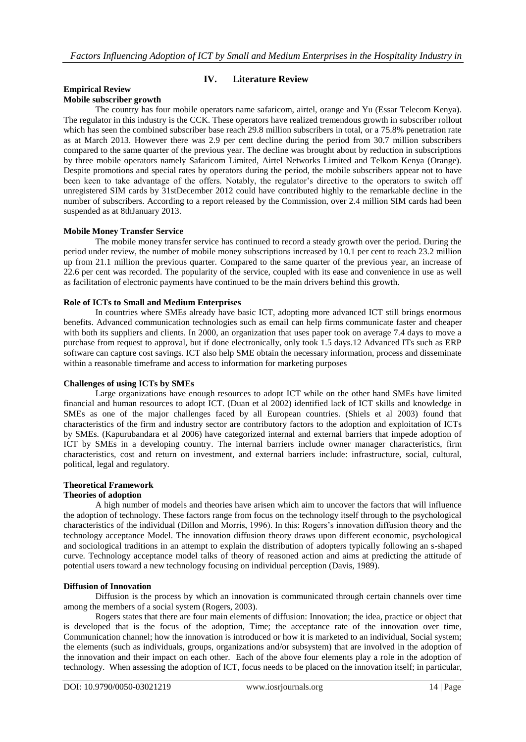# **IV. Literature Review**

#### **Empirical Review Mobile subscriber growth**

The country has four mobile operators name safaricom, airtel, orange and Yu (Essar Telecom Kenya). The regulator in this industry is the CCK. These operators have realized tremendous growth in subscriber rollout which has seen the combined subscriber base reach 29.8 million subscribers in total, or a 75.8% penetration rate as at March 2013. However there was 2.9 per cent decline during the period from 30.7 million subscribers compared to the same quarter of the previous year. The decline was brought about by reduction in subscriptions by three mobile operators namely Safaricom Limited, Airtel Networks Limited and Telkom Kenya (Orange). Despite promotions and special rates by operators during the period, the mobile subscribers appear not to have been keen to take advantage of the offers. Notably, the regulator"s directive to the operators to switch off unregistered SIM cards by 31stDecember 2012 could have contributed highly to the remarkable decline in the number of subscribers. According to a report released by the Commission, over 2.4 million SIM cards had been suspended as at 8thJanuary 2013.

## **Mobile Money Transfer Service**

The mobile money transfer service has continued to record a steady growth over the period. During the period under review, the number of mobile money subscriptions increased by 10.1 per cent to reach 23.2 million up from 21.1 million the previous quarter. Compared to the same quarter of the previous year, an increase of 22.6 per cent was recorded. The popularity of the service, coupled with its ease and convenience in use as well as facilitation of electronic payments have continued to be the main drivers behind this growth.

#### **Role of ICTs to Small and Medium Enterprises**

In countries where SMEs already have basic ICT, adopting more advanced ICT still brings enormous benefits. Advanced communication technologies such as email can help firms communicate faster and cheaper with both its suppliers and clients. In 2000, an organization that uses paper took on average 7.4 days to move a purchase from request to approval, but if done electronically, only took 1.5 days.12 Advanced ITs such as ERP software can capture cost savings. ICT also help SME obtain the necessary information, process and disseminate within a reasonable timeframe and access to information for marketing purposes

#### **Challenges of using ICTs by SMEs**

Large organizations have enough resources to adopt ICT while on the other hand SMEs have limited financial and human resources to adopt ICT. (Duan et al 2002) identified lack of ICT skills and knowledge in SMEs as one of the major challenges faced by all European countries. (Shiels et al 2003) found that characteristics of the firm and industry sector are contributory factors to the adoption and exploitation of ICTs by SMEs. (Kapurubandara et al 2006) have categorized internal and external barriers that impede adoption of ICT by SMEs in a developing country. The internal barriers include owner manager characteristics, firm characteristics, cost and return on investment, and external barriers include: infrastructure, social, cultural, political, legal and regulatory.

# **Theoretical Framework**

#### **Theories of adoption**

A high number of models and theories have arisen which aim to uncover the factors that will influence the adoption of technology. These factors range from focus on the technology itself through to the psychological characteristics of the individual (Dillon and Morris, 1996). In this: Rogers"s innovation diffusion theory and the technology acceptance Model. The innovation diffusion theory draws upon different economic, psychological and sociological traditions in an attempt to explain the distribution of adopters typically following an s-shaped curve. Technology acceptance model talks of theory of reasoned action and aims at predicting the attitude of potential users toward a new technology focusing on individual perception (Davis, 1989).

#### **Diffusion of Innovation**

Diffusion is the process by which an innovation is communicated through certain channels over time among the members of a social system (Rogers, 2003).

Rogers states that there are four main elements of diffusion: Innovation; the idea, practice or object that is developed that is the focus of the adoption, Time; the acceptance rate of the innovation over time, Communication channel; how the innovation is introduced or how it is marketed to an individual, Social system; the elements (such as individuals, groups, organizations and/or subsystem) that are involved in the adoption of the innovation and their impact on each other. Each of the above four elements play a role in the adoption of technology. When assessing the adoption of ICT, focus needs to be placed on the innovation itself; in particular,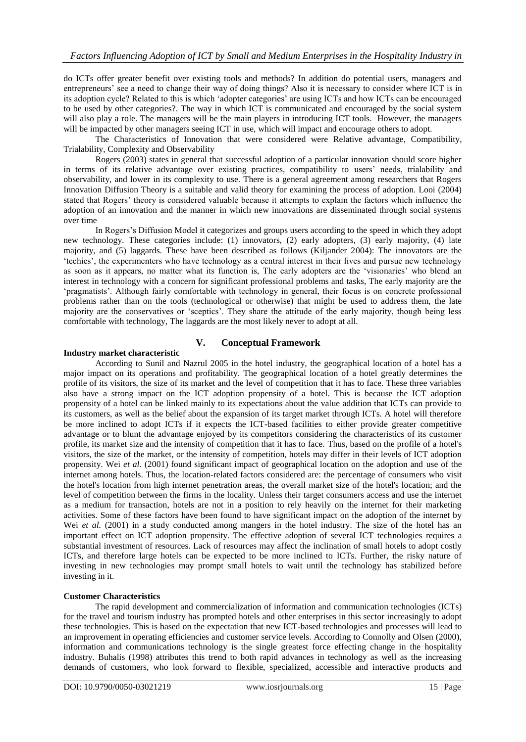do ICTs offer greater benefit over existing tools and methods? In addition do potential users, managers and entrepreneurs" see a need to change their way of doing things? Also it is necessary to consider where ICT is in its adoption cycle? Related to this is which "adopter categories" are using ICTs and how ICTs can be encouraged to be used by other categories?. The way in which ICT is communicated and encouraged by the social system will also play a role. The managers will be the main players in introducing ICT tools. However, the managers will be impacted by other managers seeing ICT in use, which will impact and encourage others to adopt.

The Characteristics of Innovation that were considered were Relative advantage, Compatibility, Trialability, Complexity and Observability

Rogers (2003) states in general that successful adoption of a particular innovation should score higher in terms of its relative advantage over existing practices, compatibility to users' needs, trialability and observability, and lower in its complexity to use. There is a general agreement among researchers that Rogers Innovation Diffusion Theory is a suitable and valid theory for examining the process of adoption. Looi (2004) stated that Rogers" theory is considered valuable because it attempts to explain the factors which influence the adoption of an innovation and the manner in which new innovations are disseminated through social systems over time

In Rogers"s Diffusion Model it categorizes and groups users according to the speed in which they adopt new technology. These categories include: (1) innovators, (2) early adopters, (3) early majority, (4) late majority, and (5) laggards. These have been described as follows (Kiljander 2004): The innovators are the "techies", the experimenters who have technology as a central interest in their lives and pursue new technology as soon as it appears, no matter what its function is, The early adopters are the "visionaries" who blend an interest in technology with a concern for significant professional problems and tasks, The early majority are the "pragmatists". Although fairly comfortable with technology in general, their focus is on concrete professional problems rather than on the tools (technological or otherwise) that might be used to address them, the late majority are the conservatives or "sceptics". They share the attitude of the early majority, though being less comfortable with technology, The laggards are the most likely never to adopt at all.

# **V. Conceptual Framework**

#### **Industry market characteristic**

According to Sunil and Nazrul 2005 in the hotel industry, the geographical location of a hotel has a major impact on its operations and profitability. The geographical location of a hotel greatly determines the profile of its visitors, the size of its market and the level of competition that it has to face. These three variables also have a strong impact on the ICT adoption propensity of a hotel. This is because the ICT adoption propensity of a hotel can be linked mainly to its expectations about the value addition that ICTs can provide to its customers, as well as the belief about the expansion of its target market through ICTs. A hotel will therefore be more inclined to adopt ICTs if it expects the ICT-based facilities to either provide greater competitive advantage or to blunt the advantage enjoyed by its competitors considering the characteristics of its customer profile, its market size and the intensity of competition that it has to face. Thus, based on the profile of a hotel's visitors, the size of the market, or the intensity of competition, hotels may differ in their levels of ICT adoption propensity. Wei *et al.* (2001) found significant impact of geographical location on the adoption and use of the internet among hotels. Thus, the location-related factors considered are: the percentage of consumers who visit the hotel's location from high internet penetration areas, the overall market size of the hotel's location; and the level of competition between the firms in the locality. Unless their target consumers access and use the internet as a medium for transaction, hotels are not in a position to rely heavily on the internet for their marketing activities. Some of these factors have been found to have significant impact on the adoption of the internet by Wei *et al.* (2001) in a study conducted among mangers in the hotel industry. The size of the hotel has an important effect on ICT adoption propensity. The effective adoption of several ICT technologies requires a substantial investment of resources. Lack of resources may affect the inclination of small hotels to adopt costly ICTs, and therefore large hotels can be expected to be more inclined to ICTs. Further, the risky nature of investing in new technologies may prompt small hotels to wait until the technology has stabilized before investing in it.

#### **Customer Characteristics**

The rapid development and commercialization of information and communication technologies (ICTs) for the travel and tourism industry has prompted hotels and other enterprises in this sector increasingly to adopt these technologies. This is based on the expectation that new ICT-based technologies and processes will lead to an improvement in operating efficiencies and customer service levels. According to Connolly and Olsen (2000), information and communications technology is the single greatest force effecting change in the hospitality industry. Buhalis (1998) attributes this trend to both rapid advances in technology as well as the increasing demands of customers, who look forward to flexible, specialized, accessible and interactive products and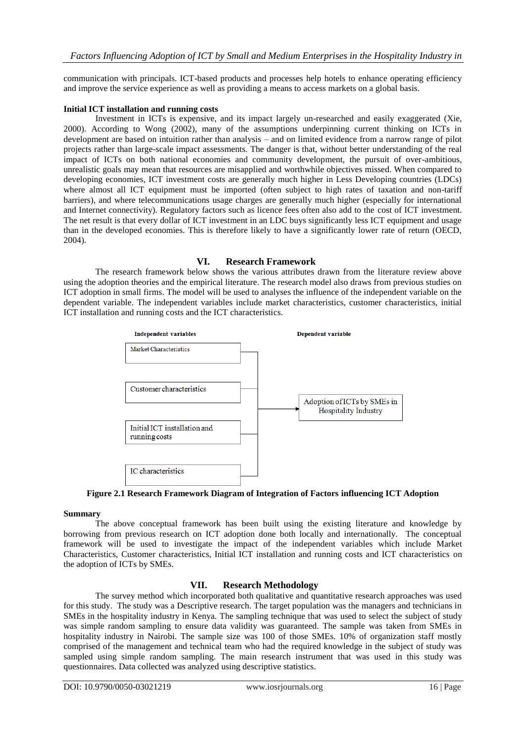communication with principals. ICT-based products and processes help hotels to enhance operating efficiency and improve the service experience as well as providing a means to access markets on a global basis.

## **Initial ICT installation and running costs**

Investment in ICTs is expensive, and its impact largely un-researched and easily exaggerated (Xie, 2000). According to Wong (2002), many of the assumptions underpinning current thinking on ICTs in development are based on intuition rather than analysis – and on limited evidence from a narrow range of pilot projects rather than large-scale impact assessments. The danger is that, without better understanding of the real impact of ICTs on both national economies and community development, the pursuit of over-ambitious, unrealistic goals may mean that resources are misapplied and worthwhile objectives missed. When compared to developing economies, ICT investment costs are generally much higher in Less Developing countries (LDCs) where almost all ICT equipment must be imported (often subject to high rates of taxation and non-tariff barriers), and where telecommunications usage charges are generally much higher (especially for international and Internet connectivity). Regulatory factors such as licence fees often also add to the cost of ICT investment. The net result is that every dollar of ICT investment in an LDC buys significantly less ICT equipment and usage than in the developed economies. This is therefore likely to have a significantly lower rate of return (OECD, 2004).

# **VI. Research Framework**

The research framework below shows the various attributes drawn from the literature review above using the adoption theories and the empirical literature. The research model also draws from previous studies on ICT adoption in small firms. The model will be used to analyses the influence of the independent variable on the dependent variable. The independent variables include market characteristics, customer characteristics, initial ICT installation and running costs and the ICT characteristics.



**Figure 2.1 Research Framework Diagram of Integration of Factors influencing ICT Adoption**

#### **Summary**

The above conceptual framework has been built using the existing literature and knowledge by borrowing from previous research on ICT adoption done both locally and internationally. The conceptual framework will be used to investigate the impact of the independent variables which include Market Characteristics, Customer characteristics, Initial ICT installation and running costs and ICT characteristics on the adoption of ICTs by SMEs.

# **VII. Research Methodology**

The survey method which incorporated both qualitative and quantitative research approaches was used for this study. The study was a Descriptive research. The target population was the managers and technicians in SMEs in the hospitality industry in Kenya. The sampling technique that was used to select the subject of study was simple random sampling to ensure data validity was guaranteed. The sample was taken from SMEs in hospitality industry in Nairobi. The sample size was 100 of those SMEs. 10% of organization staff mostly comprised of the management and technical team who had the required knowledge in the subject of study was sampled using simple random sampling. The main research instrument that was used in this study was questionnaires. Data collected was analyzed using descriptive statistics.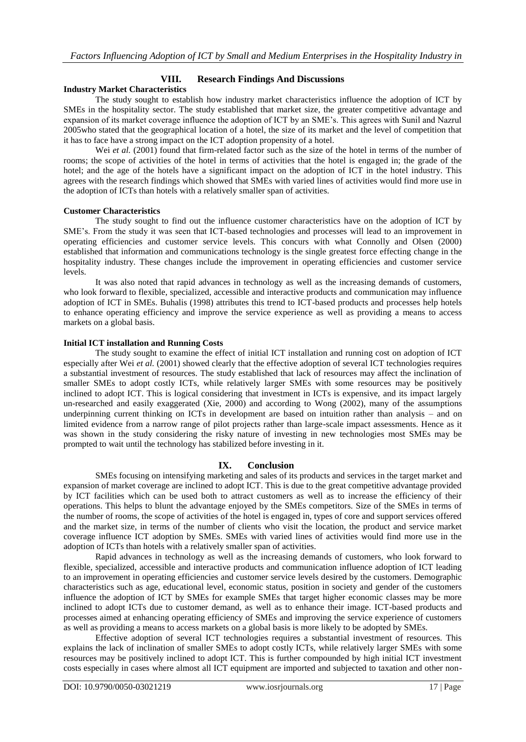# **VIII. Research Findings And Discussions**

#### **Industry Market Characteristics**

The study sought to establish how industry market characteristics influence the adoption of ICT by SMEs in the hospitality sector. The study established that market size, the greater competitive advantage and expansion of its market coverage influence the adoption of ICT by an SME"s. This agrees with Sunil and Nazrul 2005who stated that the geographical location of a hotel, the size of its market and the level of competition that it has to face have a strong impact on the ICT adoption propensity of a hotel.

Wei *et al.* (2001) found that firm-related factor such as the size of the hotel in terms of the number of rooms; the scope of activities of the hotel in terms of activities that the hotel is engaged in; the grade of the hotel; and the age of the hotels have a significant impact on the adoption of ICT in the hotel industry. This agrees with the research findings which showed that SMEs with varied lines of activities would find more use in the adoption of ICTs than hotels with a relatively smaller span of activities.

#### **Customer Characteristics**

The study sought to find out the influence customer characteristics have on the adoption of ICT by SME"s. From the study it was seen that ICT-based technologies and processes will lead to an improvement in operating efficiencies and customer service levels. This concurs with what Connolly and Olsen (2000) established that information and communications technology is the single greatest force effecting change in the hospitality industry. These changes include the improvement in operating efficiencies and customer service levels.

It was also noted that rapid advances in technology as well as the increasing demands of customers, who look forward to flexible, specialized, accessible and interactive products and communication may influence adoption of ICT in SMEs. Buhalis (1998) attributes this trend to ICT-based products and processes help hotels to enhance operating efficiency and improve the service experience as well as providing a means to access markets on a global basis.

#### **Initial ICT installation and Running Costs**

The study sought to examine the effect of initial ICT installation and running cost on adoption of ICT especially after Wei *et al.* (2001) showed clearly that the effective adoption of several ICT technologies requires a substantial investment of resources. The study established that lack of resources may affect the inclination of smaller SMEs to adopt costly ICTs, while relatively larger SMEs with some resources may be positively inclined to adopt ICT. This is logical considering that investment in ICTs is expensive, and its impact largely un-researched and easily exaggerated (Xie, 2000) and according to Wong (2002), many of the assumptions underpinning current thinking on ICTs in development are based on intuition rather than analysis – and on limited evidence from a narrow range of pilot projects rather than large-scale impact assessments. Hence as it was shown in the study considering the risky nature of investing in new technologies most SMEs may be prompted to wait until the technology has stabilized before investing in it.

#### **IX. Conclusion**

SMEs focusing on intensifying marketing and sales of its products and services in the target market and expansion of market coverage are inclined to adopt ICT. This is due to the great competitive advantage provided by ICT facilities which can be used both to attract customers as well as to increase the efficiency of their operations. This helps to blunt the advantage enjoyed by the SMEs competitors. Size of the SMEs in terms of the number of rooms, the scope of activities of the hotel is engaged in, types of core and support services offered and the market size, in terms of the number of clients who visit the location, the product and service market coverage influence ICT adoption by SMEs. SMEs with varied lines of activities would find more use in the adoption of ICTs than hotels with a relatively smaller span of activities.

Rapid advances in technology as well as the increasing demands of customers, who look forward to flexible, specialized, accessible and interactive products and communication influence adoption of ICT leading to an improvement in operating efficiencies and customer service levels desired by the customers. Demographic characteristics such as age, educational level, economic status, position in society and gender of the customers influence the adoption of ICT by SMEs for example SMEs that target higher economic classes may be more inclined to adopt ICTs due to customer demand, as well as to enhance their image. ICT-based products and processes aimed at enhancing operating efficiency of SMEs and improving the service experience of customers as well as providing a means to access markets on a global basis is more likely to be adopted by SMEs.

Effective adoption of several ICT technologies requires a substantial investment of resources. This explains the lack of inclination of smaller SMEs to adopt costly ICTs, while relatively larger SMEs with some resources may be positively inclined to adopt ICT. This is further compounded by high initial ICT investment costs especially in cases where almost all ICT equipment are imported and subjected to taxation and other non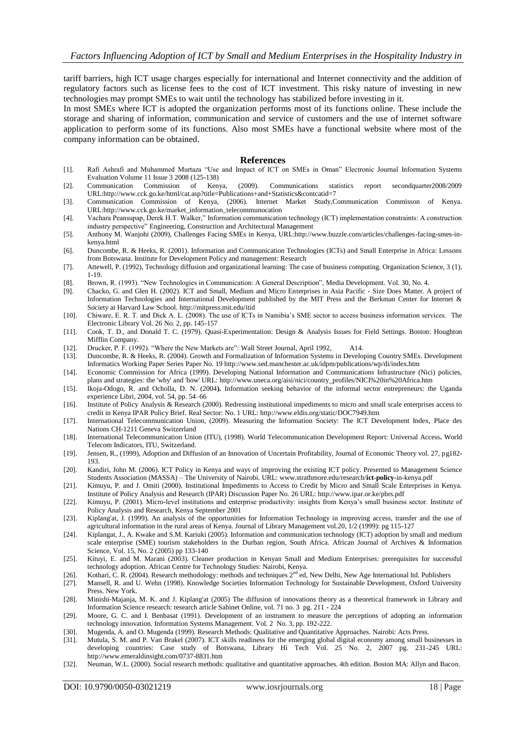tariff barriers, high ICT usage charges especially for international and Internet connectivity and the addition of regulatory factors such as license fees to the cost of ICT investment. This risky nature of investing in new technologies may prompt SMEs to wait until the technology has stabilized before investing in it.

In most SMEs where ICT is adopted the organization performs most of its functions online. These include the storage and sharing of information, communication and service of customers and the use of internet software application to perform some of its functions. Also most SMEs have a functional website where most of the company information can be obtained.

#### **References**

- [1]. Rafi Ashrafi and Muhammed Murtaza "Use and Impact of ICT on SMEs in Oman" Electronic Journal Information Systems Evaluation Volume 11 Issue 3 2008 (125-138)
- [2]. Communication Commission of Kenya, (2009). Communications statistics report secondquarter2008/2009 UR[L:http://www.cck.go.ke/html/cat.asp?title=Publications+and+Statistics&contcatid=7](http://www.cck.go.ke/html/cat.asp?title=Publications+and+Statistics&contcatid=7)
- [3]. Communication Commission of Kenya, (2006). Internet Market Study,Communication Commisson of Kenya. UR[L:http://www.cck.go.ke/market\\_information\\_telecommunocation](http://www.cck.go.ke/market_information_telecommunocation)
- [4]. Vachara Peansupap, Derek H.T. Walker," Information communication technology (ICT) implementation constraints: A construction industry perspective[" Engineering, Construction and Architectural Management](http://www.emeraldinsight.com/0969-9988.htm)
- [5]. Anthony M. Wanjohi (2009), Challenges Facing SMEs in Kenya, URL:http://www.buzzle.com/articles/challenges-facing-smes-inkenya.html
- [6]. Duncombe, R. & Heeks, R. (2001). Information and Communication Technologies (ICTs) and Small Enterprise in Africa: Lessons from Botswana. Institute for Development Policy and management: Research
- [7]. Attewell, P. (1992), Technology diffusion and organizational learning: The case of business computing. Organization Science, 3 (1), 1-19.
- [8]. Brown, R. (1993). "New Technologies in Communication: A General Description", Media Development. Vol. 30, No. 4.
- [9]. Chacko, G. and Glen H. (2002). ICT and Small, Medium and Micro Enterprises in Asia Pacific Size Does Matter. A project of Information Technologies and International Development published by the MIT Press and the Berkman Center for Internet & Society at Harvard Law School[. http://mitpress.mit.edu/itid](http://mitpress.mit.edu/itid)
- [10]. Chiware, E. R. T. and Dick A. L. (2008). The use of ICTs in Namibia"s SME sector to access business information services. The Electronic Library Vol. 26 No. 2, pp. 145-157
- [11]. Cook, T. D., and Donald T. C. (1979). Quasi-Experimentation: Design & Analysis Issues for Field Settings. Boston: Houghton Mifflin Company.
- [12]. Drucker, P. F. (1992). "Where the New Markets are": Wall Street Journal, April 1992, A14.
- [13]. Duncombe, R. & Heeks, R. (2004). Growth and Formalization of Information Systems in Developing Country SMEs. Development Informatics Working Paper Series Paper No. 1[9 http://www.sed.manchester.ac.uk/idpm/publications/wp/di/index.htm](http://www.sed.manchester.ac.uk/idpm/publications/wp/di/index.htm)
- [14]. Economic Commission for Africa (1999). Developing National Information and Communications Infrastructure (Nici) policies, plans and strategies: the 'why' and 'how' URL[: http://www.uneca.org/aisi/nici/country\\_profiles/NICI%20in%20Africa.htm](http://www.uneca.org/aisi/nici/country_profiles/NICI%20in%20Africa.htm)
- [15]. Ikoja-Odogo, R. and Ocholla, D. N. (2004**).** Information seeking behavior of the informal sector entrepreneurs: the Uganda experience Libri, 2004, vol. 54, pp. 54–66
- [16]. Institute of Policy Analysis & Research (2000). Redressing institutional impediments to micro and small scale enterprises access to credit in Kenya IPAR Policy Brief. Real Sector: No. 1 URL[: http://www.eldis.org/static/DOC7949.htm](http://www.eldis.org/static/DOC7949.htm)
- [17]. International Telecommunication Union, (2009). Measuring the Information Society: The ICT Development Index, Place des Nations CH-1211 Geneva Switzerland
- [18]. International Telecommunication Union (ITU), (1998). World Telecommunication Development Report: Universal Access**.** World Telecom Indicators, ITU, Switzerland.
- [19]. Jensen, R., (1999), Adoption and Diffusion of an Innovation of Uncertain Profitability, Journal of Economic Theory vol. 27, pg182- 193.
- [20]. Kandiri, John M. (2006). ICT Policy in Kenya and ways of improving the existing ICT policy. Presented to Management Science Students Association (MASSA) – The University of Nairobi. URL: [www.strathmore.edu/research/](http://www.strathmore.edu/research/ict-policy-in-kenya.pdf)**ict**-**policy**-in-kenya.pdf
- [21]. Kimuyu, P. and J. Omiti (2000). Institutional Impediments to Access to Credit by Micro and Small Scale Enterprises in Kenya. Institute of Policy Analysis and Research (IPAR) Discussion Paper No. 26 URL[: http://www.ipar.or.ke/pbrs.pdf](http://www.ipar.or.ke/pbrs.pdf)
- [22]. Kimuyu, P. (2001). Micro-level institutions and enterprise productivity: insights from Kenya"s small business sector. Institute of Policy Analysis and Research, Kenya September 2001
- [23]. Kiplang'at, J. (1999). An analysis of the opportunities for Information Technology in improving access, transfer and the use of agricultural information in the rural areas of Kenya. Journal of Library Management vol.20, 1/2 (1999): pg 115-127
- [24]. Kiplangat, J., A. Kwake and S.M. Kariuki (2005). Information and communication technology (ICT) adoption by small and medium scale enterprise (SME) tourism stakeholders in the Durban region, South Africa. African Journal of Archives & Information Science, Vol. 15, No. 2 (2005) pp 133-140
- [25]. Kituyi, E. and M. Marani (2003). Cleaner production in Kenyan Small and Medium Enterprises: prerequisites for successful technology adoption. African Centre for Technology Studies: Nairobi, Kenya.
- [26]. Kothari, C. R. (2004). Research methodology: methods and techniques 2<sup>nd</sup> ed, New Delhi, New Age International ltd. Publishers
- [27]. Mansell, R. and U. Wehn (1998). Knowledge Societies Information Technology for Sustainable Development, Oxford University Press. New York.
- [28]. Minishi-Majanja, M. K. and J. Kiplang'at (2005) The diffusion of innovations theory as a theoretical framework in Library and Information Science research: research article Sabinet Online, vol. 71 no. 3 pg. 211 - 224
- [29]. Moore, G. C. and I. Benbasat (1991). Development of an instrument to measure the perceptions of adopting an information technology innovation. Information Systems Management. Vol. 2 No. 3, pp. 192-222.
- [30]. Mugenda, A. and O. Mugenda (1999). Research Methods: Qualitative and Quantitative Approaches. Nairobi: Acts Press.
- [31]. Mutula, S. M. and P. Van Brakel (2007). ICT skills readiness for the emerging global digital economy among small businesses in developing countries: Case study of Botswana, Library Hi Tech Vol. 25 No. 2, 2007 pg. 231-245 URL: <http://www.emeraldinsight.com/0737-8831.htm>
- [32]. Neuman, W.L. (2000). Social research methods: qualitative and quantitative approaches. 4th edition. Boston MA: Allyn and Bacon.